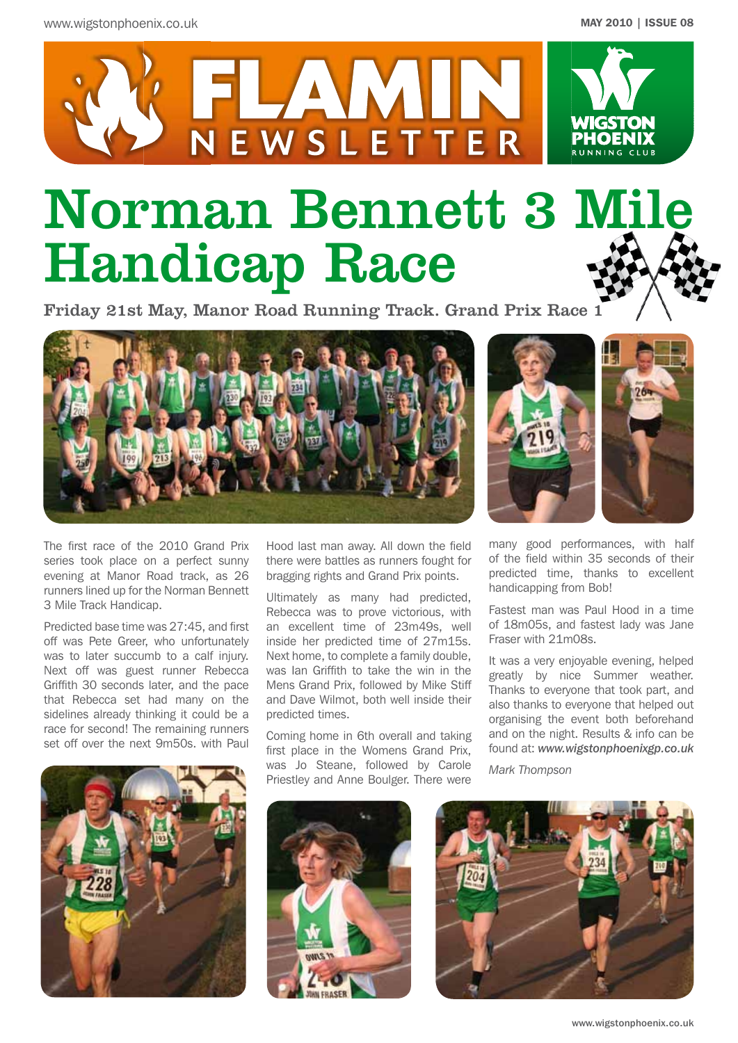

# Norman Bennett 3 Mile Handicap Race

Friday 21st May, Manor Road Running Track. Grand Prix Race 1



The first race of the 2010 Grand Prix series took place on a perfect sunny evening at Manor Road track, as 26 runners lined up for the Norman Bennett 3 Mile Track Handicap.

Predicted base time was 27:45, and first off was Pete Greer, who unfortunately was to later succumb to a calf injury. Next off was guest runner Rebecca Griffith 30 seconds later, and the pace that Rebecca set had many on the sidelines already thinking it could be a race for second! The remaining runners set off over the next 9m50s. with Paul



Hood last man away. All down the field there were battles as runners fought for bragging rights and Grand Prix points.

Ultimately as many had predicted, Rebecca was to prove victorious, with an excellent time of 23m49s, well inside her predicted time of 27m15s. Next home, to complete a family double, was Ian Griffith to take the win in the Mens Grand Prix, followed by Mike Stiff and Dave Wilmot, both well inside their predicted times.

Coming home in 6th overall and taking first place in the Womens Grand Prix, was Jo Steane, followed by Carole Priestley and Anne Boulger. There were





many good performances, with half of the field within 35 seconds of their predicted time, thanks to excellent handicapping from Bob!

Fastest man was Paul Hood in a time of 18m05s, and fastest lady was Jane Fraser with 21m08s.

It was a very enjoyable evening, helped greatly by nice Summer weather. Thanks to everyone that took part, and also thanks to everyone that helped out organising the event both beforehand and on the night. Results & info can be found at: *www.wigstonphoenixgp.co.uk*

*Mark Thompson*

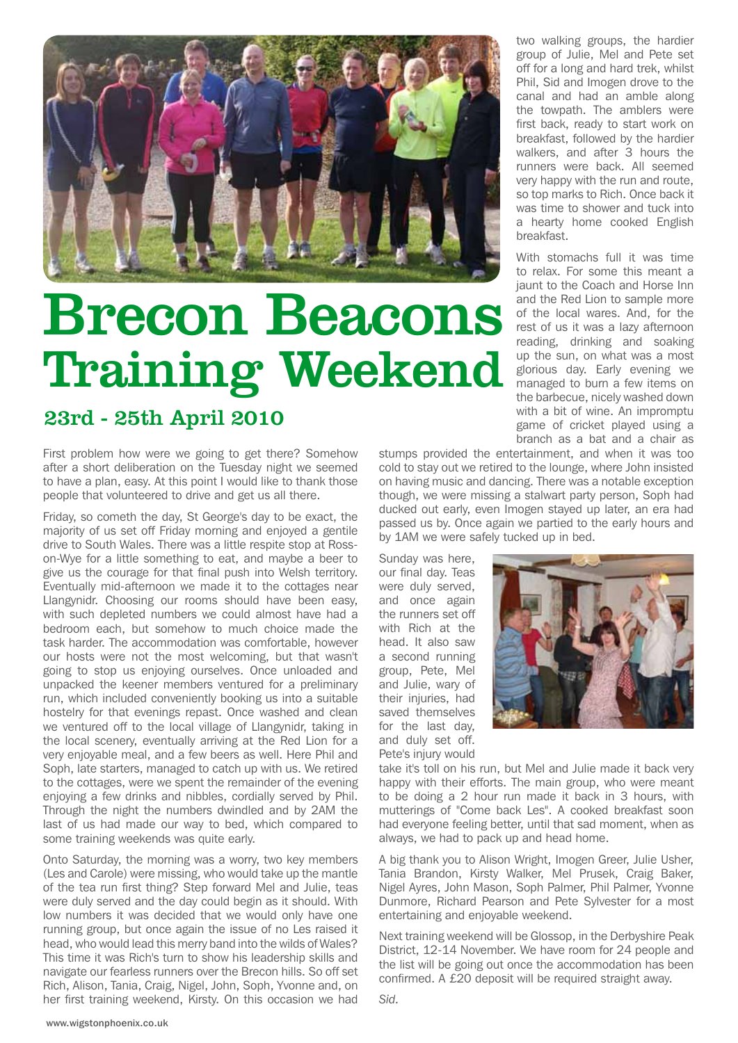

# Brecon Beacons Training Weekend

# 23rd - 25th April 2010

First problem how were we going to get there? Somehow after a short deliberation on the Tuesday night we seemed to have a plan, easy. At this point I would like to thank those people that volunteered to drive and get us all there.

Friday, so cometh the day, St George's day to be exact, the majority of us set off Friday morning and enjoyed a gentile drive to South Wales. There was a little respite stop at Rosson-Wye for a little something to eat, and maybe a beer to give us the courage for that final push into Welsh territory. Eventually mid-afternoon we made it to the cottages near Llangynidr. Choosing our rooms should have been easy, with such depleted numbers we could almost have had a bedroom each, but somehow to much choice made the task harder. The accommodation was comfortable, however our hosts were not the most welcoming, but that wasn't going to stop us enjoying ourselves. Once unloaded and unpacked the keener members ventured for a preliminary run, which included conveniently booking us into a suitable hostelry for that evenings repast. Once washed and clean we ventured off to the local village of Llangynidr, taking in the local scenery, eventually arriving at the Red Lion for a very enjoyable meal, and a few beers as well. Here Phil and Soph, late starters, managed to catch up with us. We retired to the cottages, were we spent the remainder of the evening enjoying a few drinks and nibbles, cordially served by Phil. Through the night the numbers dwindled and by 2AM the last of us had made our way to bed, which compared to some training weekends was quite early.

Onto Saturday, the morning was a worry, two key members (Les and Carole) were missing, who would take up the mantle of the tea run first thing? Step forward Mel and Julie, teas were duly served and the day could begin as it should. With low numbers it was decided that we would only have one running group, but once again the issue of no Les raised it head, who would lead this merry band into the wilds of Wales? This time it was Rich's turn to show his leadership skills and navigate our fearless runners over the Brecon hills. So off set Rich, Alison, Tania, Craig, Nigel, John, Soph, Yvonne and, on her first training weekend, Kirsty. On this occasion we had

two walking groups, the hardier group of Julie, Mel and Pete set off for a long and hard trek, whilst Phil, Sid and Imogen drove to the canal and had an amble along the towpath. The amblers were first back, ready to start work on breakfast, followed by the hardier walkers, and after 3 hours the runners were back. All seemed very happy with the run and route, so top marks to Rich. Once back it was time to shower and tuck into a hearty home cooked English breakfast.

With stomachs full it was time to relax. For some this meant a jaunt to the Coach and Horse Inn and the Red Lion to sample more of the local wares. And, for the rest of us it was a lazy afternoon reading, drinking and soaking up the sun, on what was a most glorious day. Early evening we managed to burn a few items on the barbecue, nicely washed down with a bit of wine. An impromptu game of cricket played using a branch as a bat and a chair as

stumps provided the entertainment, and when it was too cold to stay out we retired to the lounge, where John insisted on having music and dancing. There was a notable exception though, we were missing a stalwart party person, Soph had ducked out early, even Imogen stayed up later, an era had passed us by. Once again we partied to the early hours and by 1AM we were safely tucked up in bed.

Sunday was here, our final day. Teas were duly served, and once again the runners set off with Rich at the head. It also saw a second running group, Pete, Mel and Julie, wary of their injuries, had saved themselves for the last day, and duly set off. Pete's injury would



take it's toll on his run, but Mel and Julie made it back very happy with their efforts. The main group, who were meant to be doing a 2 hour run made it back in 3 hours, with mutterings of "Come back Les". A cooked breakfast soon had everyone feeling better, until that sad moment, when as always, we had to pack up and head home.

A big thank you to Alison Wright, Imogen Greer, Julie Usher, Tania Brandon, Kirsty Walker, Mel Prusek, Craig Baker, Nigel Ayres, John Mason, Soph Palmer, Phil Palmer, Yvonne Dunmore, Richard Pearson and Pete Sylvester for a most entertaining and enjoyable weekend.

Next training weekend will be Glossop, in the Derbyshire Peak District, 12-14 November. We have room for 24 people and the list will be going out once the accommodation has been confirmed. A £20 deposit will be required straight away.

*Sid.*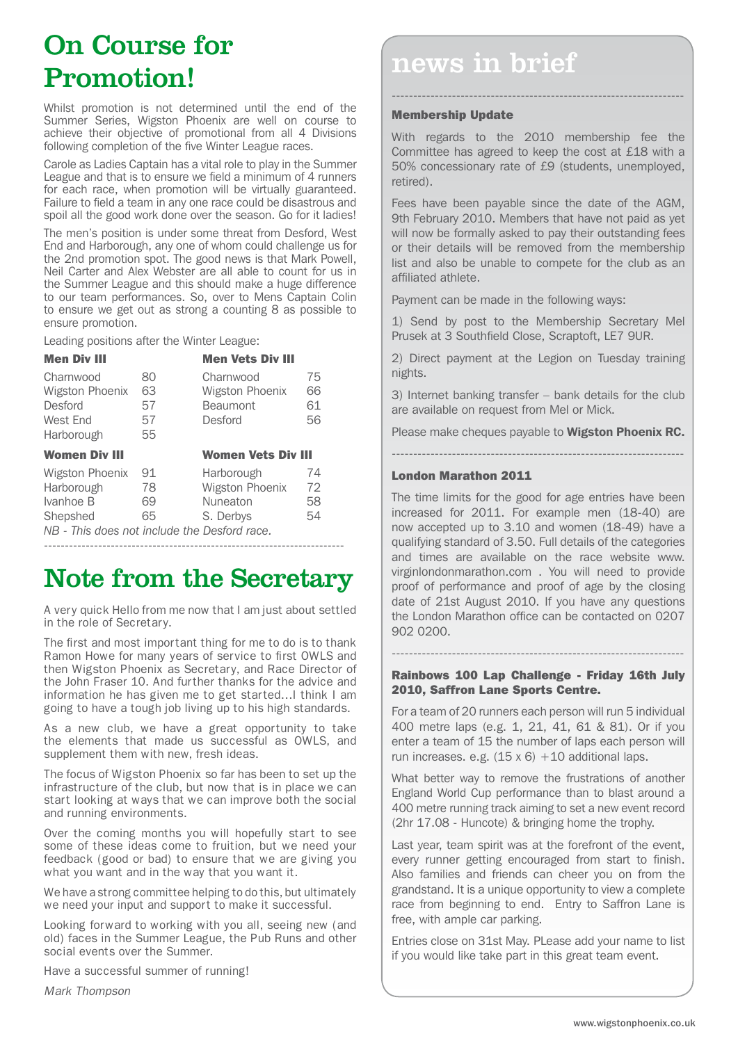# On Course for Promotion!

Whilst promotion is not determined until the end of the Summer Series, Wigston Phoenix are well on course to achieve their objective of promotional from all 4 Divisions following completion of the five Winter League races.

Carole as Ladies Captain has a vital role to play in the Summer League and that is to ensure we field a minimum of 4 runners for each race, when promotion will be virtually guaranteed. Failure to field a team in any one race could be disastrous and spoil all the good work done over the season. Go for it ladies!

The men's position is under some threat from Desford, West End and Harborough, any one of whom could challenge us for the 2nd promotion spot. The good news is that Mark Powell, Neil Carter and Alex Webster are all able to count for us in the Summer League and this should make a huge difference to our team performances. So, over to Mens Captain Colin to ensure we get out as strong a counting 8 as possible to ensure promotion.

Leading positions after the Winter League:

| <b>Men Div III</b>     |    | <b>Men Vets Div III</b>   |    |  |
|------------------------|----|---------------------------|----|--|
| Charnwood              | 80 | Charnwood                 | 75 |  |
| <b>Wigston Phoenix</b> | 63 | Wigston Phoenix           | 66 |  |
| Desford                | 57 | <b>Beaumont</b>           | 61 |  |
| West End               | 57 | Desford                   | 56 |  |
| Harborough             | 55 |                           |    |  |
|                        |    | <b>Women Vets Div III</b> |    |  |
| <b>Women Div III</b>   |    |                           |    |  |
| <b>Wigston Phoenix</b> | 91 | Harborough                | 74 |  |
| Harborough             | 78 | Wigston Phoenix           | 72 |  |
| Ivanhoe B              | 69 | Nuneaton                  | 58 |  |
| Shepshed               | 65 | S. Derbys                 | 54 |  |

*NB - This does not include the Desford race.* ------------------------------------------------------------------------

# Note from the Secretary

A very quick Hello from me now that I am just about settled in the role of Secretary.

The first and most important thing for me to do is to thank Ramon Howe for many years of service to first OWLS and then Wigston Phoenix as Secretary, and Race Director of the John Fraser 10. And further thanks for the advice and information he has given me to get started…I think I am going to have a tough job living up to his high standards.

As a new club, we have a great opportunity to take the elements that made us successful as OWLS, and supplement them with new, fresh ideas.

The focus of Wigston Phoenix so far has been to set up the infrastructure of the club, but now that is in place we can start looking at ways that we can improve both the social and running environments.

Over the coming months you will hopefully start to see some of these ideas come to fruition, but we need your feedback (good or bad) to ensure that we are giving you what you want and in the way that you want it.

We have a strong committee helping to do this, but ultimately we need your input and support to make it successful.

Looking forward to working with you all, seeing new (and old) faces in the Summer League, the Pub Runs and other social events over the Summer.

Have a successful summer of running!

*Mark Thompson*

# news in brief

### Membership Update

With regards to the 2010 membership fee the Committee has agreed to keep the cost at £18 with a 50% concessionary rate of £9 (students, unemployed, retired).

--------------------------------------------------------------------

Fees have been payable since the date of the AGM, 9th February 2010. Members that have not paid as yet will now be formally asked to pay their outstanding fees or their details will be removed from the membership list and also be unable to compete for the club as an affiliated athlete.

Payment can be made in the following ways:

1) Send by post to the Membership Secretary Mel Prusek at 3 Southfield Close, Scraptoft, LE7 9UR.

2) Direct payment at the Legion on Tuesday training nights.

3) Internet banking transfer – bank details for the club are available on request from Mel or Mick.

Please make cheques payable to **Wigston Phoenix RC.** --------------------------------------------------------------------

### London Marathon 2011

The time limits for the good for age entries have been increased for 2011. For example men (18-40) are now accepted up to 3.10 and women (18-49) have a qualifying standard of 3.50. Full details of the categories and times are available on the race website www. virginlondonmarathon.com . You will need to provide proof of performance and proof of age by the closing date of 21st August 2010. If you have any questions the London Marathon office can be contacted on 0207 902 0200.

--------------------------------------------------------------------

#### Rainbows 100 Lap Challenge - Friday 16th July 2010, Saffron Lane Sports Centre.

For a team of 20 runners each person will run 5 individual 400 metre laps (e.g. 1, 21, 41, 61 & 81). Or if you enter a team of 15 the number of laps each person will run increases. e.g.  $(15 \times 6) + 10$  additional laps.

What better way to remove the frustrations of another England World Cup performance than to blast around a 400 metre running track aiming to set a new event record (2hr 17.08 - Huncote) & bringing home the trophy.

Last year, team spirit was at the forefront of the event, every runner getting encouraged from start to finish. Also families and friends can cheer you on from the grandstand. It is a unique opportunity to view a complete race from beginning to end. Entry to Saffron Lane is free, with ample car parking.

Entries close on 31st May. PLease add your name to list if you would like take part in this great team event.